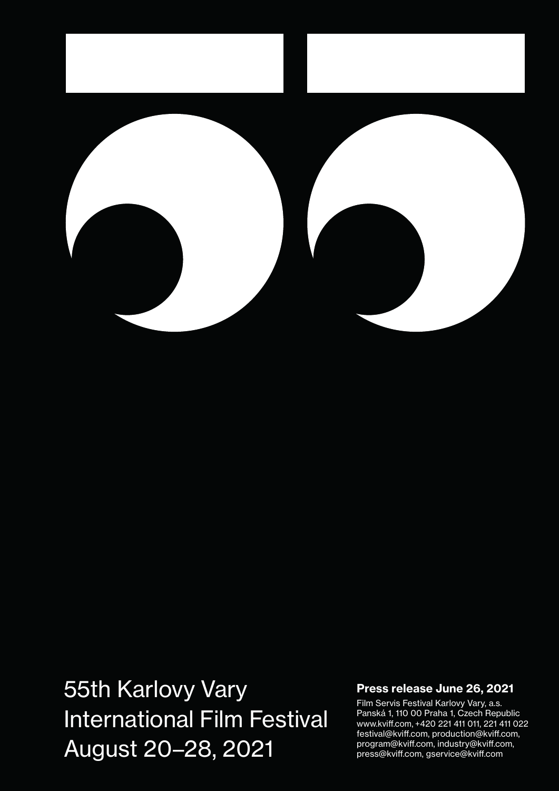

# 55th Karlovy Vary International Film Festival August 20–28, 2021

#### Press release June 26, 2021

Film Servis Festival Karlovy Vary, a.s. Panská 1, 110 00 Praha 1, Czech Republic www.kviff.com, +420 221 411 011, 221 411 022 festival@kviff.com, production@kviff.com, program@kviff.com, industry@kviff.com, press@kviff.com, gservice@kviff.com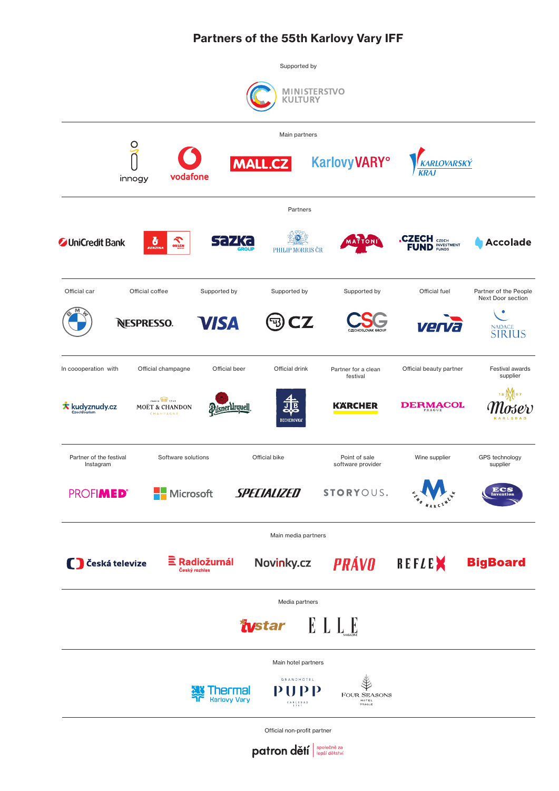# Partners of the 55th Karlovy Vary IFF



patron dětí společně za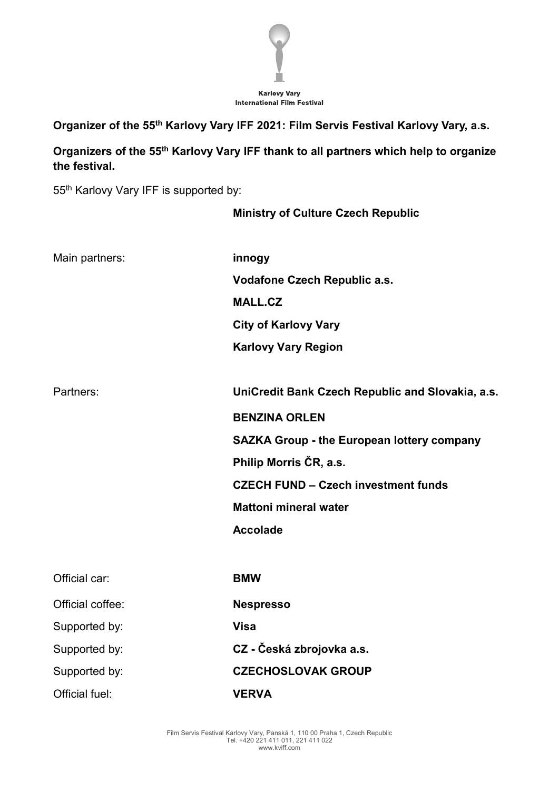

**Organizer of the 55th Karlovy Vary IFF 2021: Film Servis Festival Karlovy Vary, a.s.**

**Organizers of the 55th Karlovy Vary IFF thank to all partners which help to organize the festival.**

55th Karlovy Vary IFF is supported by:

# **Ministry of Culture Czech Republic**

| Main partners:   | innogy                                            |
|------------------|---------------------------------------------------|
|                  | Vodafone Czech Republic a.s.                      |
|                  | <b>MALL.CZ</b>                                    |
|                  | <b>City of Karlovy Vary</b>                       |
|                  | <b>Karlovy Vary Region</b>                        |
|                  |                                                   |
| Partners:        | UniCredit Bank Czech Republic and Slovakia, a.s.  |
|                  | <b>BENZINA ORLEN</b>                              |
|                  | <b>SAZKA Group - the European lottery company</b> |
|                  | Philip Morris ČR, a.s.                            |
|                  | <b>CZECH FUND - Czech investment funds</b>        |
|                  | <b>Mattoni mineral water</b>                      |
|                  | <b>Accolade</b>                                   |
|                  |                                                   |
| Official car:    | <b>BMW</b>                                        |
| Official coffee: | <b>Nespresso</b>                                  |
| Supported by:    | <b>Visa</b>                                       |
| Supported by:    | CZ - Česká zbrojovka a.s.                         |
| Supported by:    | <b>CZECHOSLOVAK GROUP</b>                         |
| Official fuel:   | <b>VERVA</b>                                      |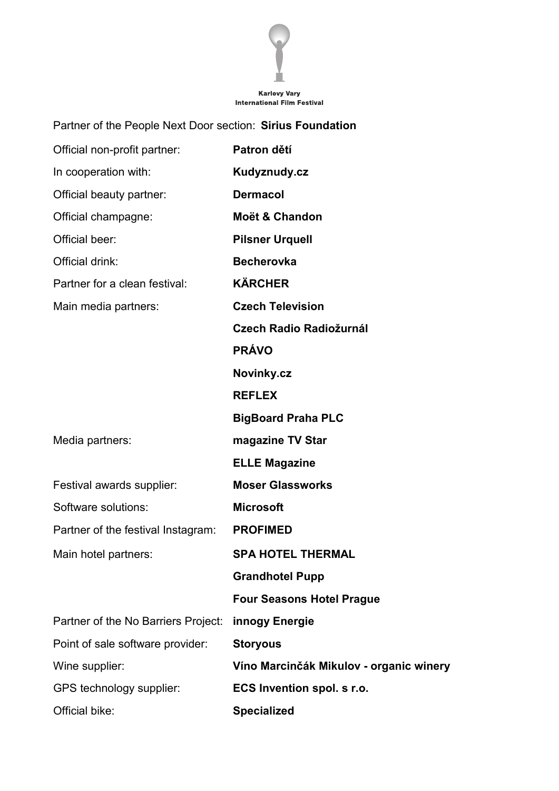

# Karlovy Vary<br>International Film Festival

| Partner of the People Next Door section: Sirius Foundation |                                         |
|------------------------------------------------------------|-----------------------------------------|
| Official non-profit partner:                               | Patron dětí                             |
| In cooperation with:                                       | Kudyznudy.cz                            |
| Official beauty partner:                                   | <b>Dermacol</b>                         |
| Official champagne:                                        | <b>Moët &amp; Chandon</b>               |
| Official beer:                                             | <b>Pilsner Urquell</b>                  |
| Official drink:                                            | <b>Becherovka</b>                       |
| Partner for a clean festival:                              | <b>KÄRCHER</b>                          |
| Main media partners:                                       | <b>Czech Television</b>                 |
|                                                            | Czech Radio Radiožurnál                 |
|                                                            | <b>PRÁVO</b>                            |
|                                                            | Novinky.cz                              |
|                                                            | <b>REFLEX</b>                           |
|                                                            | <b>BigBoard Praha PLC</b>               |
| Media partners:                                            | magazine TV Star                        |
|                                                            | <b>ELLE Magazine</b>                    |
| Festival awards supplier:                                  | <b>Moser Glassworks</b>                 |
| Software solutions:                                        | <b>Microsoft</b>                        |
| Partner of the festival Instagram:                         | <b>PROFIMED</b>                         |
| Main hotel partners:                                       | <b>SPA HOTEL THERMAL</b>                |
|                                                            | <b>Grandhotel Pupp</b>                  |
|                                                            | <b>Four Seasons Hotel Prague</b>        |
| Partner of the No Barriers Project:                        | innogy Energie                          |
| Point of sale software provider:                           | <b>Storyous</b>                         |
| Wine supplier:                                             | Víno Marcinčák Mikulov - organic winery |
| GPS technology supplier:                                   | ECS Invention spol. s r.o.              |
| Official bike:                                             | <b>Specialized</b>                      |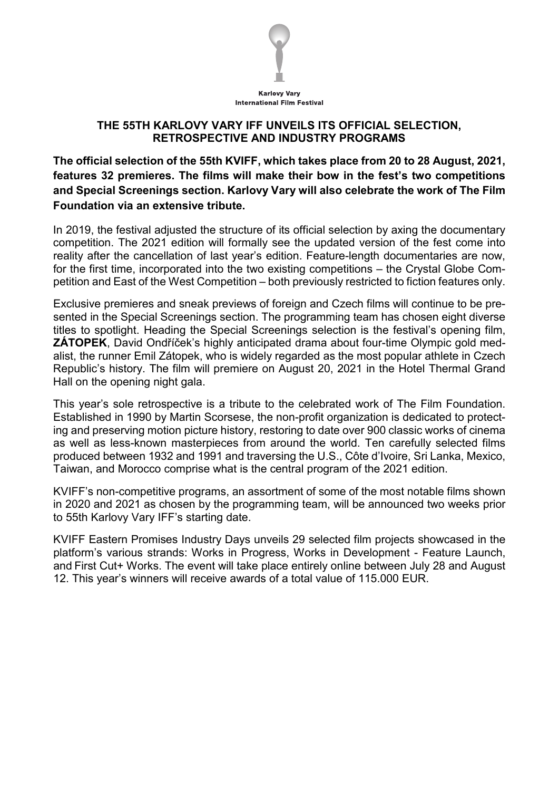

#### **THE 55TH KARLOVY VARY IFF UNVEILS ITS OFFICIAL SELECTION, RETROSPECTIVE AND INDUSTRY PROGRAMS**

**The official selection of the 55th KVIFF, which takes place from 20 to 28 August, 2021, features 32 premieres. The films will make their bow in the fest's two competitions and Special Screenings section. Karlovy Vary will also celebrate the work of The Film Foundation via an extensive tribute.**

In 2019, the festival adjusted the structure of its official selection by axing the documentary competition. The 2021 edition will formally see the updated version of the fest come into reality after the cancellation of last year's edition. Feature-length documentaries are now, for the first time, incorporated into the two existing competitions – the Crystal Globe Competition and East of the West Competition – both previously restricted to fiction features only.

Exclusive premieres and sneak previews of foreign and Czech films will continue to be presented in the Special Screenings section. The programming team has chosen eight diverse titles to spotlight. Heading the Special Screenings selection is the festival's opening film, **ZÁTOPEK**, David Ondříček's highly anticipated drama about four-time Olympic gold medalist, the runner Emil Zátopek, who is widely regarded as the most popular athlete in Czech Republic's history. The film will premiere on August 20, 2021 in the Hotel Thermal Grand Hall on the opening night gala.

This year's sole retrospective is a tribute to the celebrated work of The Film Foundation. Established in 1990 by Martin Scorsese, the non-profit organization is dedicated to protecting and preserving motion picture history, restoring to date over 900 classic works of cinema as well as less-known masterpieces from around the world. Ten carefully selected films produced between 1932 and 1991 and traversing the U.S., Côte d'Ivoire, Sri Lanka, Mexico, Taiwan, and Morocco comprise what is the central program of the 2021 edition.

KVIFF's non-competitive programs, an assortment of some of the most notable films shown in 2020 and 2021 as chosen by the programming team, will be announced two weeks prior to 55th Karlovy Vary IFF's starting date.

KVIFF Eastern Promises Industry Days unveils 29 selected film projects showcased in the platform's various strands: Works in Progress, Works in Development - Feature Launch, and First Cut+ Works. The event will take place entirely online between July 28 and August 12. This year's winners will receive awards of a total value of 115.000 EUR.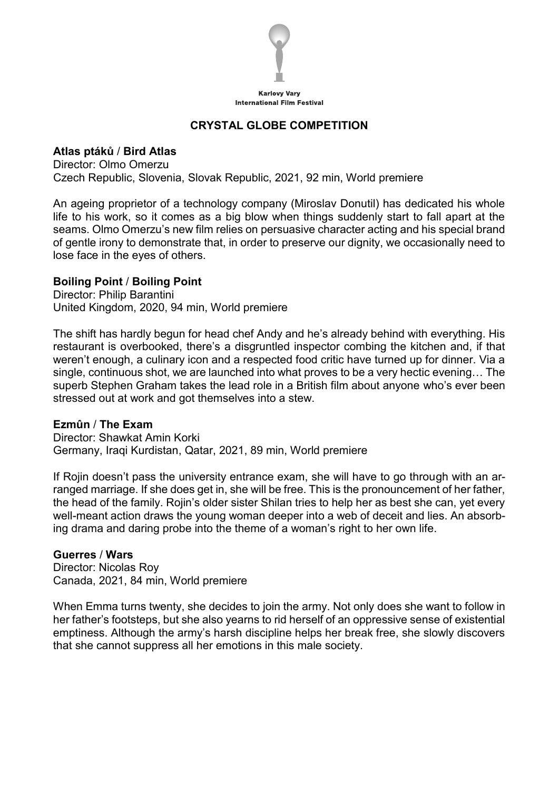

# **CRYSTAL GLOBE COMPETITION**

# **Atlas ptáků** / **Bird Atlas**

Director: Olmo Omerzu Czech Republic, Slovenia, Slovak Republic, 2021, 92 min, World premiere

An ageing proprietor of a technology company (Miroslav Donutil) has dedicated his whole life to his work, so it comes as a big blow when things suddenly start to fall apart at the seams. Olmo Omerzu's new film relies on persuasive character acting and his special brand of gentle irony to demonstrate that, in order to preserve our dignity, we occasionally need to lose face in the eyes of others.

#### **Boiling Point** / **Boiling Point**

Director: Philip Barantini United Kingdom, 2020, 94 min, World premiere

The shift has hardly begun for head chef Andy and he's already behind with everything. His restaurant is overbooked, there's a disgruntled inspector combing the kitchen and, if that weren't enough, a culinary icon and a respected food critic have turned up for dinner. Via a single, continuous shot, we are launched into what proves to be a very hectic evening… The superb Stephen Graham takes the lead role in a British film about anyone who's ever been stressed out at work and got themselves into a stew.

#### **Ezmûn** / **The Exam**

Director: Shawkat Amin Korki Germany, Iraqi Kurdistan, Qatar, 2021, 89 min, World premiere

If Rojin doesn't pass the university entrance exam, she will have to go through with an arranged marriage. If she does get in, she will be free. This is the pronouncement of her father, the head of the family. Rojin's older sister Shilan tries to help her as best she can, yet every well-meant action draws the young woman deeper into a web of deceit and lies. An absorbing drama and daring probe into the theme of a woman's right to her own life.

#### **Guerres** / **Wars**

Director: Nicolas Roy Canada, 2021, 84 min, World premiere

When Emma turns twenty, she decides to join the army. Not only does she want to follow in her father's footsteps, but she also yearns to rid herself of an oppressive sense of existential emptiness. Although the army's harsh discipline helps her break free, she slowly discovers that she cannot suppress all her emotions in this male society.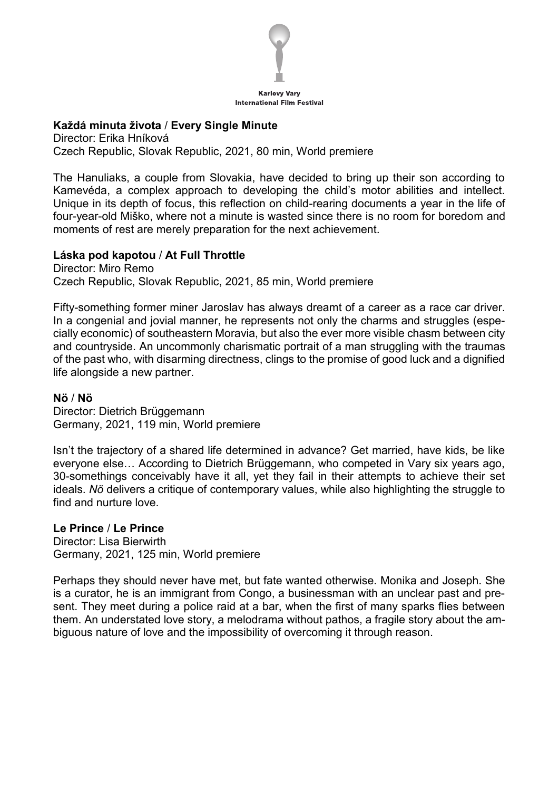

#### **Každá minuta života** / **Every Single Minute**

Director: Erika Hníková Czech Republic, Slovak Republic, 2021, 80 min, World premiere

The Hanuliaks, a couple from Slovakia, have decided to bring up their son according to Kamevéda, a complex approach to developing the child's motor abilities and intellect. Unique in its depth of focus, this reflection on child-rearing documents a year in the life of four-year-old Miško, where not a minute is wasted since there is no room for boredom and moments of rest are merely preparation for the next achievement.

#### **Láska pod kapotou** / **At Full Throttle**

Director: Miro Remo Czech Republic, Slovak Republic, 2021, 85 min, World premiere

Fifty-something former miner Jaroslav has always dreamt of a career as a race car driver. In a congenial and jovial manner, he represents not only the charms and struggles (especially economic) of southeastern Moravia, but also the ever more visible chasm between city and countryside. An uncommonly charismatic portrait of a man struggling with the traumas of the past who, with disarming directness, clings to the promise of good luck and a dignified life alongside a new partner.

#### **Nö** / **Nö**

Director: Dietrich Brüggemann Germany, 2021, 119 min, World premiere

Isn't the trajectory of a shared life determined in advance? Get married, have kids, be like everyone else… According to Dietrich Brüggemann, who competed in Vary six years ago, 30-somethings conceivably have it all, yet they fail in their attempts to achieve their set ideals. *Nö* delivers a critique of contemporary values, while also highlighting the struggle to find and nurture love.

#### **Le Prince** / **Le Prince**

Director: Lisa Bierwirth Germany, 2021, 125 min, World premiere

Perhaps they should never have met, but fate wanted otherwise. Monika and Joseph. She is a curator, he is an immigrant from Congo, a businessman with an unclear past and present. They meet during a police raid at a bar, when the first of many sparks flies between them. An understated love story, a melodrama without pathos, a fragile story about the ambiguous nature of love and the impossibility of overcoming it through reason.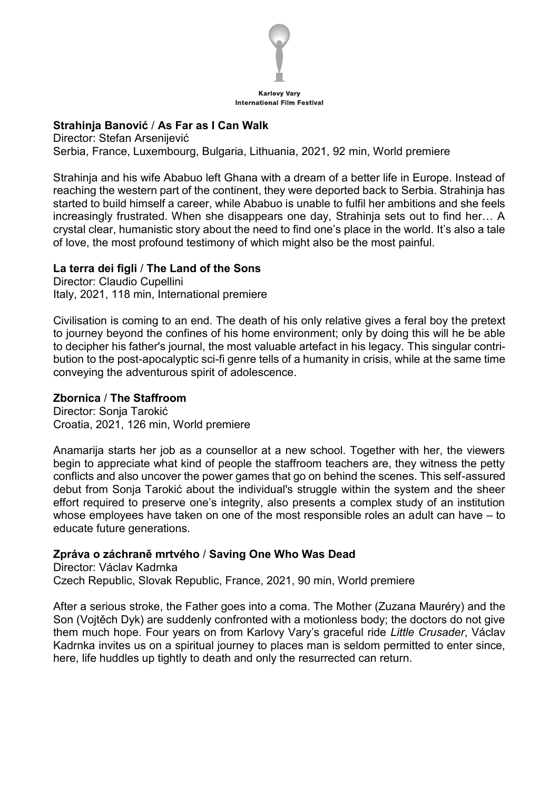

#### **Strahinja Banović** / **As Far as I Can Walk**

Director: Stefan Arsenijević Serbia, France, Luxembourg, Bulgaria, Lithuania, 2021, 92 min, World premiere

Strahinja and his wife Ababuo left Ghana with a dream of a better life in Europe. Instead of reaching the western part of the continent, they were deported back to Serbia. Strahinja has started to build himself a career, while Ababuo is unable to fulfil her ambitions and she feels increasingly frustrated. When she disappears one day, Strahinja sets out to find her… A crystal clear, humanistic story about the need to find one's place in the world. It's also a tale of love, the most profound testimony of which might also be the most painful.

#### **La terra dei figli** / **The Land of the Sons**

Director: Claudio Cupellini Italy, 2021, 118 min, International premiere

Civilisation is coming to an end. The death of his only relative gives a feral boy the pretext to journey beyond the confines of his home environment; only by doing this will he be able to decipher his father's journal, the most valuable artefact in his legacy. This singular contribution to the post-apocalyptic sci-fi genre tells of a humanity in crisis, while at the same time conveying the adventurous spirit of adolescence.

# **Zbornica** / **The Staffroom**

Director: Sonja Tarokić Croatia, 2021, 126 min, World premiere

Anamarija starts her job as a counsellor at a new school. Together with her, the viewers begin to appreciate what kind of people the staffroom teachers are, they witness the petty conflicts and also uncover the power games that go on behind the scenes. This self-assured debut from Sonja Tarokić about the individual's struggle within the system and the sheer effort required to preserve one's integrity, also presents a complex study of an institution whose employees have taken on one of the most responsible roles an adult can have – to educate future generations.

#### **Zpráva o záchraně mrtvého** / **Saving One Who Was Dead**

Director: Václav Kadrnka Czech Republic, Slovak Republic, France, 2021, 90 min, World premiere

After a serious stroke, the Father goes into a coma. The Mother (Zuzana Mauréry) and the Son (Vojtěch Dyk) are suddenly confronted with a motionless body; the doctors do not give them much hope. Four years on from Karlovy Vary's graceful ride *Little Crusader*, Václav Kadrnka invites us on a spiritual journey to places man is seldom permitted to enter since, here, life huddles up tightly to death and only the resurrected can return.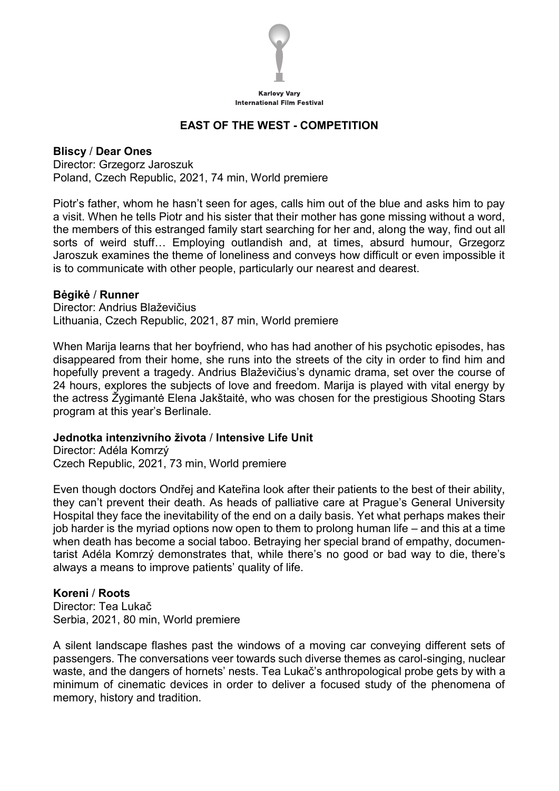

# **EAST OF THE WEST - COMPETITION**

**Bliscy** / **Dear Ones** Director: Grzegorz Jaroszuk Poland, Czech Republic, 2021, 74 min, World premiere

Piotr's father, whom he hasn't seen for ages, calls him out of the blue and asks him to pay a visit. When he tells Piotr and his sister that their mother has gone missing without a word, the members of this estranged family start searching for her and, along the way, find out all sorts of weird stuff… Employing outlandish and, at times, absurd humour, Grzegorz Jaroszuk examines the theme of loneliness and conveys how difficult or even impossible it is to communicate with other people, particularly our nearest and dearest.

#### **Bėgikė** / **Runner**

Director: Andrius Blaževičius Lithuania, Czech Republic, 2021, 87 min, World premiere

When Marija learns that her boyfriend, who has had another of his psychotic episodes, has disappeared from their home, she runs into the streets of the city in order to find him and hopefully prevent a tragedy. Andrius Blaževičius's dynamic drama, set over the course of 24 hours, explores the subjects of love and freedom. Marija is played with vital energy by the actress Žygimantė Elena Jakštaitė, who was chosen for the prestigious Shooting Stars program at this year's Berlinale.

#### **Jednotka intenzivního života** / **Intensive Life Unit**

Director: Adéla Komrzý Czech Republic, 2021, 73 min, World premiere

Even though doctors Ondřej and Kateřina look after their patients to the best of their ability, they can't prevent their death. As heads of palliative care at Prague's General University Hospital they face the inevitability of the end on a daily basis. Yet what perhaps makes their job harder is the myriad options now open to them to prolong human life – and this at a time when death has become a social taboo. Betraying her special brand of empathy, documentarist Adéla Komrzý demonstrates that, while there's no good or bad way to die, there's always a means to improve patients' quality of life.

#### **Koreni** / **Roots**

Director: Tea Lukač Serbia, 2021, 80 min, World premiere

A silent landscape flashes past the windows of a moving car conveying different sets of passengers. The conversations veer towards such diverse themes as carol-singing, nuclear waste, and the dangers of hornets' nests. Tea Lukač's anthropological probe gets by with a minimum of cinematic devices in order to deliver a focused study of the phenomena of memory, history and tradition.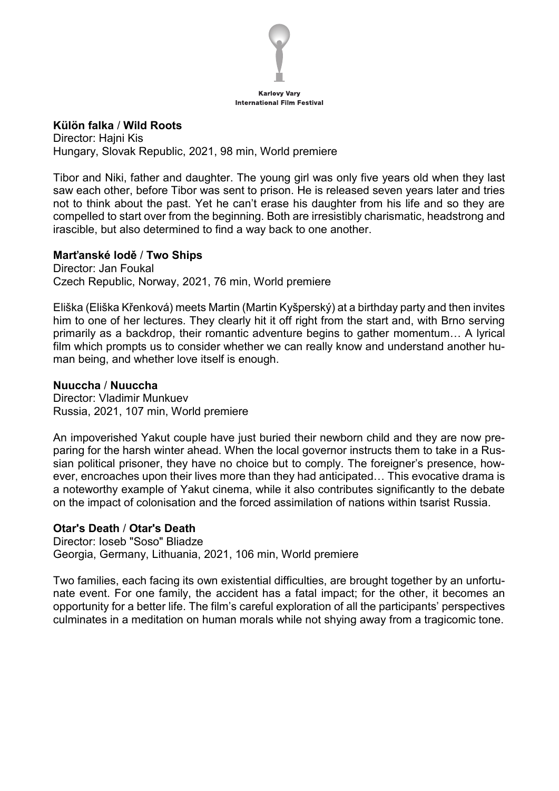

#### **Külön falka** / **Wild Roots**

Director: Hajni Kis Hungary, Slovak Republic, 2021, 98 min, World premiere

Tibor and Niki, father and daughter. The young girl was only five years old when they last saw each other, before Tibor was sent to prison. He is released seven years later and tries not to think about the past. Yet he can't erase his daughter from his life and so they are compelled to start over from the beginning. Both are irresistibly charismatic, headstrong and irascible, but also determined to find a way back to one another.

#### **Marťanské lodě** / **Two Ships**

Director: Jan Foukal Czech Republic, Norway, 2021, 76 min, World premiere

Eliška (Eliška Křenková) meets Martin (Martin Kyšperský) at a birthday party and then invites him to one of her lectures. They clearly hit it off right from the start and, with Brno serving primarily as a backdrop, their romantic adventure begins to gather momentum… A lyrical film which prompts us to consider whether we can really know and understand another human being, and whether love itself is enough.

#### **Nuuccha** / **Nuuccha**

Director: Vladimir Munkuev Russia, 2021, 107 min, World premiere

An impoverished Yakut couple have just buried their newborn child and they are now preparing for the harsh winter ahead. When the local governor instructs them to take in a Russian political prisoner, they have no choice but to comply. The foreigner's presence, however, encroaches upon their lives more than they had anticipated… This evocative drama is a noteworthy example of Yakut cinema, while it also contributes significantly to the debate on the impact of colonisation and the forced assimilation of nations within tsarist Russia.

#### **Otar's Death** / **Otar's Death**

Director: Ioseb "Soso" Bliadze Georgia, Germany, Lithuania, 2021, 106 min, World premiere

Two families, each facing its own existential difficulties, are brought together by an unfortunate event. For one family, the accident has a fatal impact; for the other, it becomes an opportunity for a better life. The film's careful exploration of all the participants' perspectives culminates in a meditation on human morals while not shying away from a tragicomic tone.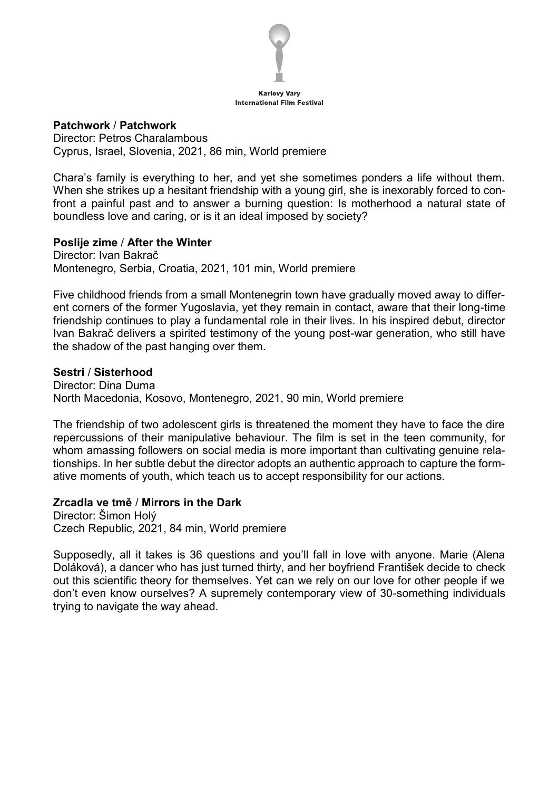

#### **Patchwork** / **Patchwork**

Director: Petros Charalambous Cyprus, Israel, Slovenia, 2021, 86 min, World premiere

Chara's family is everything to her, and yet she sometimes ponders a life without them. When she strikes up a hesitant friendship with a young girl, she is inexorably forced to confront a painful past and to answer a burning question: Is motherhood a natural state of boundless love and caring, or is it an ideal imposed by society?

#### **Poslije zime** / **After the Winter**

Director: Ivan Bakrač Montenegro, Serbia, Croatia, 2021, 101 min, World premiere

Five childhood friends from a small Montenegrin town have gradually moved away to different corners of the former Yugoslavia, yet they remain in contact, aware that their long-time friendship continues to play a fundamental role in their lives. In his inspired debut, director Ivan Bakrač delivers a spirited testimony of the young post-war generation, who still have the shadow of the past hanging over them.

#### **Sestri** / **Sisterhood**

Director: Dina Duma North Macedonia, Kosovo, Montenegro, 2021, 90 min, World premiere

The friendship of two adolescent girls is threatened the moment they have to face the dire repercussions of their manipulative behaviour. The film is set in the teen community, for whom amassing followers on social media is more important than cultivating genuine relationships. In her subtle debut the director adopts an authentic approach to capture the formative moments of youth, which teach us to accept responsibility for our actions.

#### **Zrcadla ve tmě** / **Mirrors in the Dark**

Director: Šimon Holý Czech Republic, 2021, 84 min, World premiere

Supposedly, all it takes is 36 questions and you'll fall in love with anyone. Marie (Alena Doláková), a dancer who has just turned thirty, and her boyfriend František decide to check out this scientific theory for themselves. Yet can we rely on our love for other people if we don't even know ourselves? A supremely contemporary view of 30-something individuals trying to navigate the way ahead.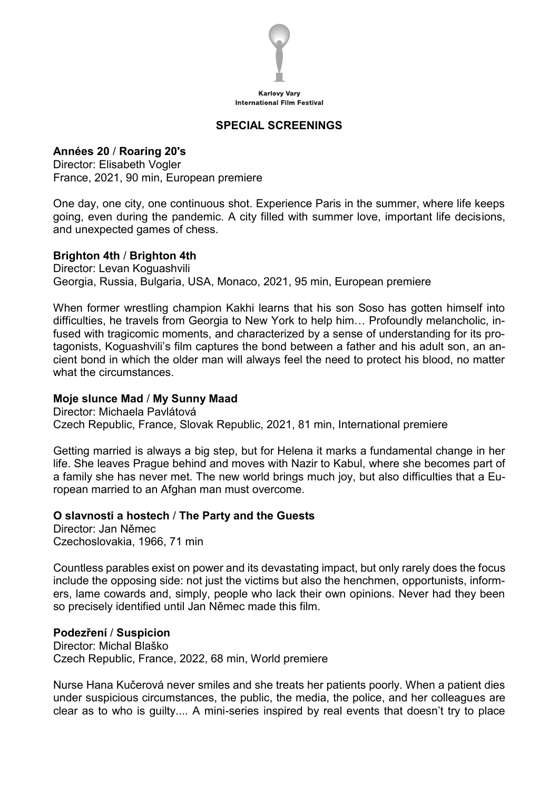

# **SPECIAL SCREENINGS**

**Années 20** / **Roaring 20's** Director: Elisabeth Vogler France, 2021, 90 min, European premiere

One day, one city, one continuous shot. Experience Paris in the summer, where life keeps going, even during the pandemic. A city filled with summer love, important life decisions, and unexpected games of chess.

#### **Brighton 4th** / **Brighton 4th**

Director: Levan Koguashvili Georgia, Russia, Bulgaria, USA, Monaco, 2021, 95 min, European premiere

When former wrestling champion Kakhi learns that his son Soso has gotten himself into difficulties, he travels from Georgia to New York to help him… Profoundly melancholic, infused with tragicomic moments, and characterized by a sense of understanding for its protagonists, Koguashvili's film captures the bond between a father and his adult son, an ancient bond in which the older man will always feel the need to protect his blood, no matter what the circumstances.

#### **Moje slunce Mad** / **My Sunny Maad**

Director: Michaela Pavlátová Czech Republic, France, Slovak Republic, 2021, 81 min, International premiere

Getting married is always a big step, but for Helena it marks a fundamental change in her life. She leaves Prague behind and moves with Nazir to Kabul, where she becomes part of a family she has never met. The new world brings much joy, but also difficulties that a European married to an Afghan man must overcome.

#### **O slavnosti a hostech** / **The Party and the Guests**

Director: Jan Němec Czechoslovakia, 1966, 71 min

Countless parables exist on power and its devastating impact, but only rarely does the focus include the opposing side: not just the victims but also the henchmen, opportunists, informers, lame cowards and, simply, people who lack their own opinions. Never had they been so precisely identified until Jan Němec made this film.

#### **Podezření** / **Suspicion**

Director: Michal Blaško Czech Republic, France, 2022, 68 min, World premiere

Nurse Hana Kučerová never smiles and she treats her patients poorly. When a patient dies under suspicious circumstances, the public, the media, the police, and her colleagues are clear as to who is guilty.... A mini-series inspired by real events that doesn't try to place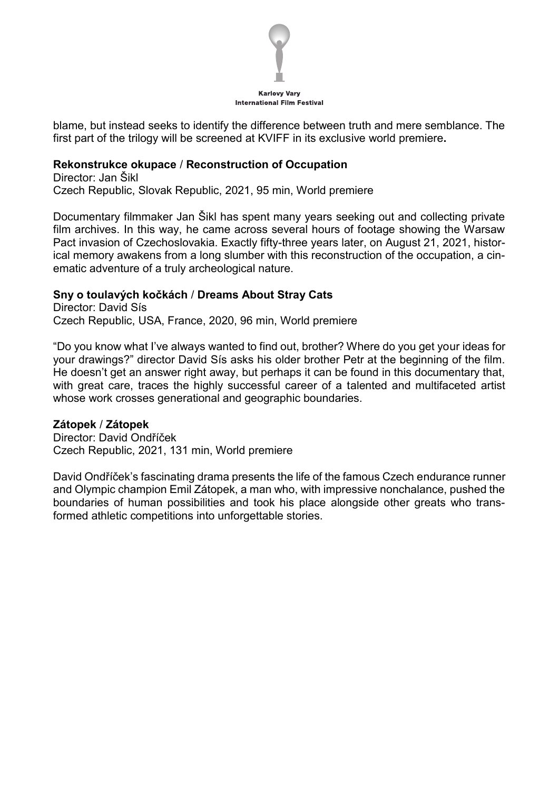

blame, but instead seeks to identify the difference between truth and mere semblance. The first part of the trilogy will be screened at KVIFF in its exclusive world premiere**.**

#### **Rekonstrukce okupace** / **Reconstruction of Occupation**

Director: Jan Šikl Czech Republic, Slovak Republic, 2021, 95 min, World premiere

Documentary filmmaker Jan Šikl has spent many years seeking out and collecting private film archives. In this way, he came across several hours of footage showing the Warsaw Pact invasion of Czechoslovakia. Exactly fifty-three years later, on August 21, 2021, historical memory awakens from a long slumber with this reconstruction of the occupation, a cinematic adventure of a truly archeological nature.

# **Sny o toulavých kočkách** / **Dreams About Stray Cats**

Director: David Sís Czech Republic, USA, France, 2020, 96 min, World premiere

"Do you know what I've always wanted to find out, brother? Where do you get your ideas for your drawings?" director David Sís asks his older brother Petr at the beginning of the film. He doesn't get an answer right away, but perhaps it can be found in this documentary that, with great care, traces the highly successful career of a talented and multifaceted artist whose work crosses generational and geographic boundaries.

# **Zátopek** / **Zátopek**

Director: David Ondříček Czech Republic, 2021, 131 min, World premiere

David Ondříček's fascinating drama presents the life of the famous Czech endurance runner and Olympic champion Emil Zátopek, a man who, with impressive nonchalance, pushed the boundaries of human possibilities and took his place alongside other greats who transformed athletic competitions into unforgettable stories.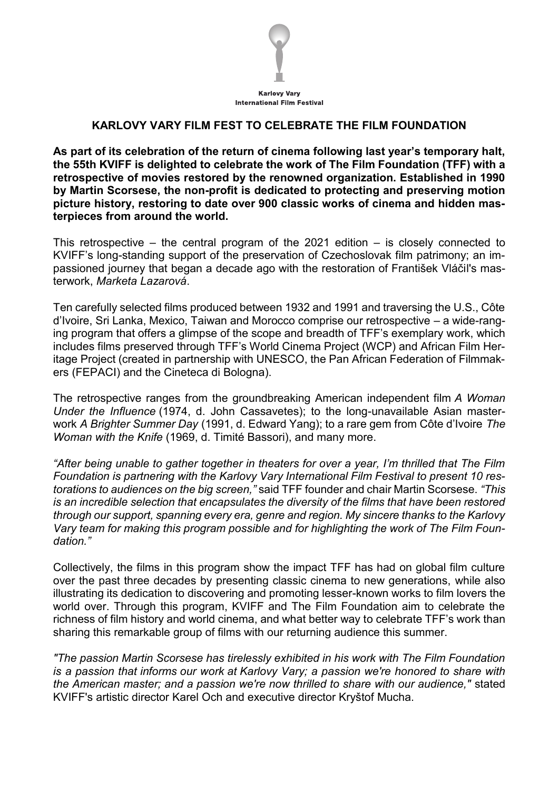

# **KARLOVY VARY FILM FEST TO CELEBRATE THE FILM FOUNDATION**

**As part of its celebration of the return of cinema following last year's temporary halt, the 55th KVIFF is delighted to celebrate the work of The Film Foundation (TFF) with a retrospective of movies restored by the renowned organization. Established in 1990 by Martin Scorsese, the non-profit is dedicated to protecting and preserving motion picture history, restoring to date over 900 classic works of cinema and hidden masterpieces from around the world.**

This retrospective – the central program of the 2021 edition  $-$  is closely connected to KVIFF's long-standing support of the preservation of Czechoslovak film patrimony; an impassioned journey that began a decade ago with the restoration of František Vláčil's masterwork, *Marketa Lazarová*.

Ten carefully selected films produced between 1932 and 1991 and traversing the U.S., Côte d'Ivoire, Sri Lanka, Mexico, Taiwan and Morocco comprise our retrospective – a wide-ranging program that offers a glimpse of the scope and breadth of TFF's exemplary work, which includes films preserved through TFF's World Cinema Project (WCP) and African Film Heritage Project (created in partnership with UNESCO, the Pan African Federation of Filmmakers (FEPACI) and the Cineteca di Bologna).

The retrospective ranges from the groundbreaking American independent film *A Woman Under the Influence* (1974, d. John Cassavetes); to the long-unavailable Asian masterwork *A Brighter Summer Day* (1991, d. Edward Yang); to a rare gem from Côte d'Ivoire *The Woman with the Knife* (1969, d. Timité Bassori), and many more.

*"After being unable to gather together in theaters for over a year, I'm thrilled that The Film Foundation is partnering with the Karlovy Vary International Film Festival to present 10 restorations to audiences on the big screen,"* said TFF founder and chair Martin Scorsese. *"This is an incredible selection that encapsulates the diversity of the films that have been restored through our support, spanning every era, genre and region. My sincere thanks to the Karlovy Vary team for making this program possible and for highlighting the work of The Film Foundation."*

Collectively, the films in this program show the impact TFF has had on global film culture over the past three decades by presenting classic cinema to new generations, while also illustrating its dedication to discovering and promoting lesser-known works to film lovers the world over. Through this program, KVIFF and The Film Foundation aim to celebrate the richness of film history and world cinema, and what better way to celebrate TFF's work than sharing this remarkable group of films with our returning audience this summer.

*"The passion Martin Scorsese has tirelessly exhibited in his work with The Film Foundation is a passion that informs our work at Karlovy Vary; a passion we're honored to share with the American master; and a passion we're now thrilled to share with our audience,"* stated KVIFF's artistic director Karel Och and executive director Kryštof Mucha.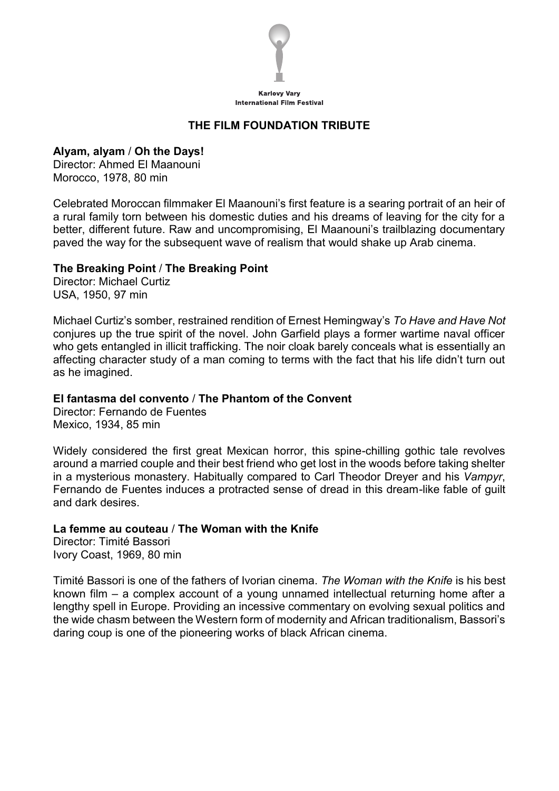

# **THE FILM FOUNDATION TRIBUTE**

#### **Alyam, alyam** / **Oh the Days!**

Director: Ahmed El Maanouni Morocco, 1978, 80 min

Celebrated Moroccan filmmaker El Maanouni's first feature is a searing portrait of an heir of a rural family torn between his domestic duties and his dreams of leaving for the city for a better, different future. Raw and uncompromising, El Maanouni's trailblazing documentary paved the way for the subsequent wave of realism that would shake up Arab cinema.

#### **The Breaking Point** / **The Breaking Point**

Director: Michael Curtiz USA, 1950, 97 min

Michael Curtiz's somber, restrained rendition of Ernest Hemingway's *To Have and Have Not* conjures up the true spirit of the novel. John Garfield plays a former wartime naval officer who gets entangled in illicit trafficking. The noir cloak barely conceals what is essentially an affecting character study of a man coming to terms with the fact that his life didn't turn out as he imagined.

# **El fantasma del convento** / **The Phantom of the Convent**

Director: Fernando de Fuentes Mexico, 1934, 85 min

Widely considered the first great Mexican horror, this spine-chilling gothic tale revolves around a married couple and their best friend who get lost in the woods before taking shelter in a mysterious monastery. Habitually compared to Carl Theodor Dreyer and his *Vampyr*, Fernando de Fuentes induces a protracted sense of dread in this dream-like fable of guilt and dark desires.

#### **La femme au couteau** / **The Woman with the Knife**

Director: Timité Bassori Ivory Coast, 1969, 80 min

Timité Bassori is one of the fathers of Ivorian cinema. *The Woman with the Knife* is his best known film – a complex account of a young unnamed intellectual returning home after a lengthy spell in Europe. Providing an incessive commentary on evolving sexual politics and the wide chasm between the Western form of modernity and African traditionalism, Bassori's daring coup is one of the pioneering works of black African cinema.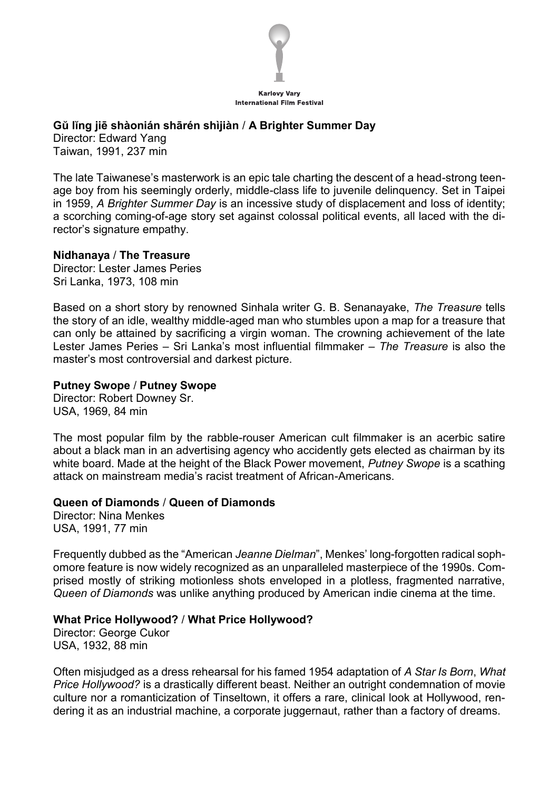

# **Gŭ lĭng jiē shàonián shārén shìjiàn** / **A Brighter Summer Day**

Director: Edward Yang Taiwan, 1991, 237 min

The late Taiwanese's masterwork is an epic tale charting the descent of a head-strong teenage boy from his seemingly orderly, middle-class life to juvenile delinquency. Set in Taipei in 1959, *A Brighter Summer Day* is an incessive study of displacement and loss of identity; a scorching coming-of-age story set against colossal political events, all laced with the director's signature empathy.

#### **Nidhanaya** / **The Treasure**

Director: Lester James Peries Sri Lanka, 1973, 108 min

Based on a short story by renowned Sinhala writer G. B. Senanayake, *The Treasure* tells the story of an idle, wealthy middle-aged man who stumbles upon a map for a treasure that can only be attained by sacrificing a virgin woman. The crowning achievement of the late Lester James Peries – Sri Lanka's most influential filmmaker – *The Treasure* is also the master's most controversial and darkest picture.

# **Putney Swope** / **Putney Swope**

Director: Robert Downey Sr. USA, 1969, 84 min

The most popular film by the rabble-rouser American cult filmmaker is an acerbic satire about a black man in an advertising agency who accidently gets elected as chairman by its white board. Made at the height of the Black Power movement, *Putney Swope* is a scathing attack on mainstream media's racist treatment of African-Americans.

# **Queen of Diamonds** / **Queen of Diamonds**

Director: Nina Menkes USA, 1991, 77 min

Frequently dubbed as the "American *Jeanne Dielman*", Menkes' long-forgotten radical sophomore feature is now widely recognized as an unparalleled masterpiece of the 1990s. Comprised mostly of striking motionless shots enveloped in a plotless, fragmented narrative, *Queen of Diamonds* was unlike anything produced by American indie cinema at the time.

#### **What Price Hollywood?** / **What Price Hollywood?**

Director: George Cukor USA, 1932, 88 min

Often misjudged as a dress rehearsal for his famed 1954 adaptation of *A Star Is Born*, *What Price Hollywood?* is a drastically different beast. Neither an outright condemnation of movie culture nor a romanticization of Tinseltown, it offers a rare, clinical look at Hollywood, rendering it as an industrial machine, a corporate juggernaut, rather than a factory of dreams.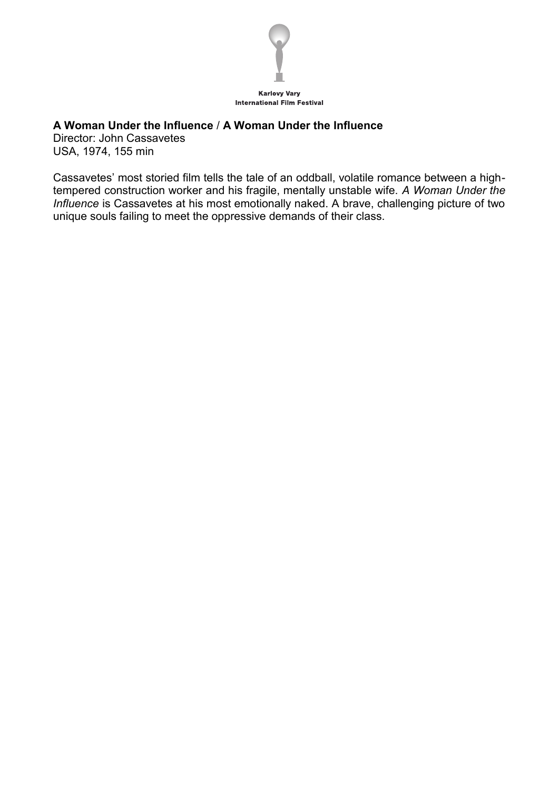

# **A Woman Under the Influence** / **A Woman Under the Influence**

Director: John Cassavetes USA, 1974, 155 min

Cassavetes' most storied film tells the tale of an oddball, volatile romance between a hightempered construction worker and his fragile, mentally unstable wife. *A Woman Under the Influence* is Cassavetes at his most emotionally naked. A brave, challenging picture of two unique souls failing to meet the oppressive demands of their class.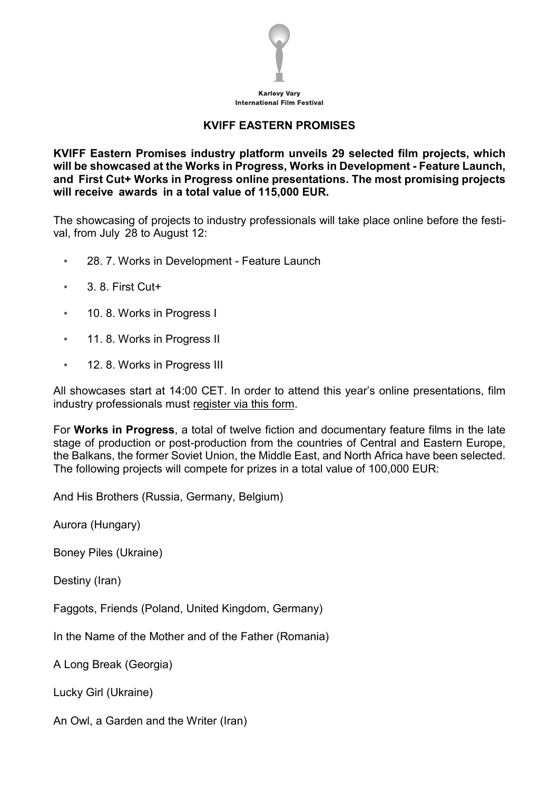

# **KVIFF EASTERN PROMISES**

**KVIFF Eastern Promises industry platform unveils 29 selected film projects, which will be showcased at the Works in Progress, Works in Development - Feature Launch, and First Cut+ Works in Progress online presentations. The most promising projects will receive awards in a total value of 115,000 EUR.**

The showcasing of projects to industry professionals will take place online before the festival, from July 28 to August 12:

- 28. 7. Works in Development Feature Launch
- 3. 8. First Cut+
- 10. 8. Works in Progress I
- 11. 8. Works in Progress II
- 12. 8. Works in Progress III

All showcases start at 14:00 CET. In order to attend this year's online presentations, film industry professionals must register via this form.

For **Works in Progress**, a total of twelve fiction and documentary feature films in the late stage of production or post-production from the countries of Central and Eastern Europe, the Balkans, the former Soviet Union, the Middle East, and North Africa have been selected. The following projects will compete for prizes in a total value of 100,000 EUR:

And His Brothers (Russia, Germany, Belgium)

Aurora (Hungary)

Boney Piles (Ukraine)

Destiny (Iran)

Faggots, Friends (Poland, United Kingdom, Germany)

In the Name of the Mother and of the Father (Romania)

A Long Break (Georgia)

Lucky Girl (Ukraine)

An Owl, a Garden and the Writer (Iran)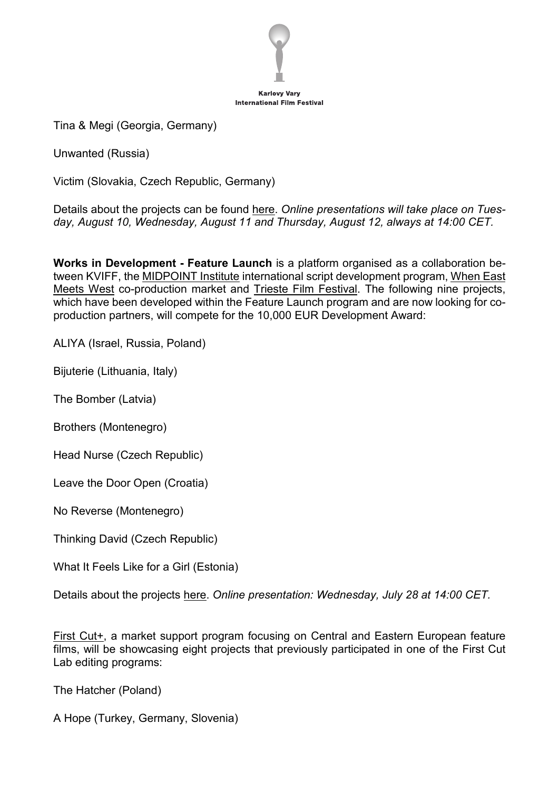

Tina & Megi (Georgia, Germany)

Unwanted (Russia)

Victim (Slovakia, Czech Republic, Germany)

Details about the projects can be found here. *Online presentations will take place on Tuesday, August 10, Wednesday, August 11 and Thursday, August 12, always at 14:00 CET.*

**Works in Development - Feature Launch** is a platform organised as a collaboration between KVIFF, the MIDPOINT Institute international script development program, When East Meets West co-production market and Trieste Film Festival. The following nine projects, which have been developed within the Feature Launch program and are now looking for coproduction partners, will compete for the 10,000 EUR Development Award:

ALIYA (Israel, Russia, Poland)

Bijuterie (Lithuania, Italy)

The Bomber (Latvia)

Brothers (Montenegro)

Head Nurse (Czech Republic)

Leave the Door Open (Croatia)

No Reverse (Montenegro)

Thinking David (Czech Republic)

What It Feels Like for a Girl (Estonia)

Details about the projects here. *Online presentation: Wednesday, July 28 at 14:00 CET.*

First Cut+, a market support program focusing on Central and Eastern European feature films, will be showcasing eight projects that previously participated in one of the First Cut Lab editing programs:

The Hatcher (Poland)

A Hope (Turkey, Germany, Slovenia)